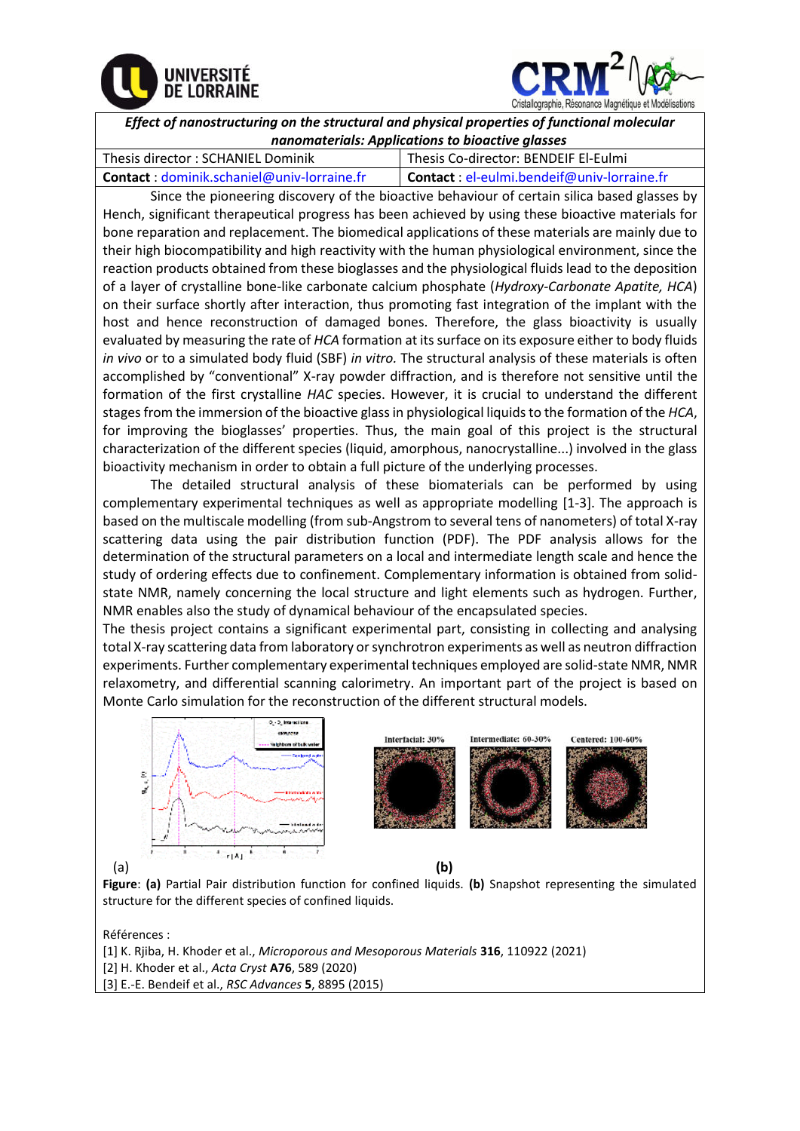



*Effect of nanostructuring on the structural and physical properties of functional molecular nanomaterials: Applications to bioactive glasses* 

| Thesis director: SCHANIEL Dominik          | Thesis Co-director: BENDEIF El-Eulmi        |
|--------------------------------------------|---------------------------------------------|
| Contact: dominik.schaniel@univ-lorraine.fr | Contact : el-eulmi.bendeif@univ-lorraine.fr |

Since the pioneering discovery of the bioactive behaviour of certain silica based glasses by Hench, significant therapeutical progress has been achieved by using these bioactive materials for bone reparation and replacement. The biomedical applications of these materials are mainly due to their high biocompatibility and high reactivity with the human physiological environment, since the reaction products obtained from these bioglasses and the physiological fluids lead to the deposition of a layer of crystalline bone-like carbonate calcium phosphate (*Hydroxy-Carbonate Apatite, HCA*) on their surface shortly after interaction, thus promoting fast integration of the implant with the host and hence reconstruction of damaged bones. Therefore, the glass bioactivity is usually evaluated by measuring the rate of *HCA* formation at its surface on its exposure either to body fluids *in vivo* or to a simulated body fluid (SBF) *in vitro.* The structural analysis of these materials is often accomplished by "conventional" X-ray powder diffraction, and is therefore not sensitive until the formation of the first crystalline *HAC* species. However, it is crucial to understand the different stages from the immersion of the bioactive glass in physiological liquids to the formation of the *HCA*, for improving the bioglasses' properties. Thus, the main goal of this project is the structural characterization of the different species (liquid, amorphous, nanocrystalline...) involved in the glass bioactivity mechanism in order to obtain a full picture of the underlying processes.

The detailed structural analysis of these biomaterials can be performed by using complementary experimental techniques as well as appropriate modelling [1-3]. The approach is based on the multiscale modelling (from sub-Angstrom to several tens of nanometers) of total X-ray scattering data using the pair distribution function (PDF). The PDF analysis allows for the determination of the structural parameters on a local and intermediate length scale and hence the study of ordering effects due to confinement. Complementary information is obtained from solidstate NMR, namely concerning the local structure and light elements such as hydrogen. Further, NMR enables also the study of dynamical behaviour of the encapsulated species.

The thesis project contains a significant experimental part, consisting in collecting and analysing total X-ray scattering data from laboratory or synchrotron experiments as well as neutron diffraction experiments. Further complementary experimental techniques employed are solid-state NMR, NMR relaxometry, and differential scanning calorimetry. An important part of the project is based on Monte Carlo simulation for the reconstruction of the different structural models.



**Figure**: **(a)** Partial Pair distribution function for confined liquids. **(b)** Snapshot representing the simulated structure for the different species of confined liquids.

Références :

[1] K. Rjiba, H. Khoder et al., *Microporous and Mesoporous Materials* **316**, 110922 (2021) [2] H. Khoder et al., *Acta Cryst* **A76**, 589 (2020) [3] E.-E. Bendeif et al., *RSC Advances* **5**, 8895 (2015)